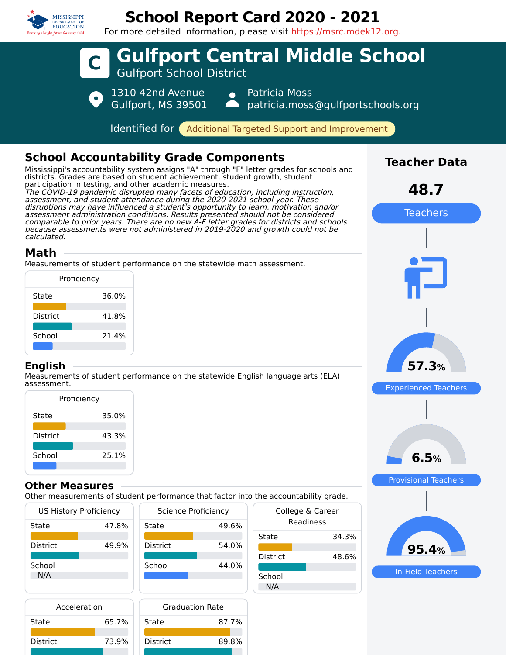

## **School Report Card 2020 - 2021**

For more detailed information, please visit https://msrc.mdek12.org.



**School** N/A

In-Field Teachers

School N/A

| 47.8% | State           | 49.6% |
|-------|-----------------|-------|
|       |                 |       |
| 49.9% | <b>District</b> | 54.0% |
|       |                 |       |
|       | School          | 44.0% |
|       |                 |       |
|       |                 |       |
|       |                 |       |

| Acceleration    |       | <b>Graduation Rate</b> |       |
|-----------------|-------|------------------------|-------|
| State           | 65.7% | State                  | 87.7% |
| <b>District</b> | 73.9% | <b>District</b>        | 89.8% |
|                 |       |                        |       |